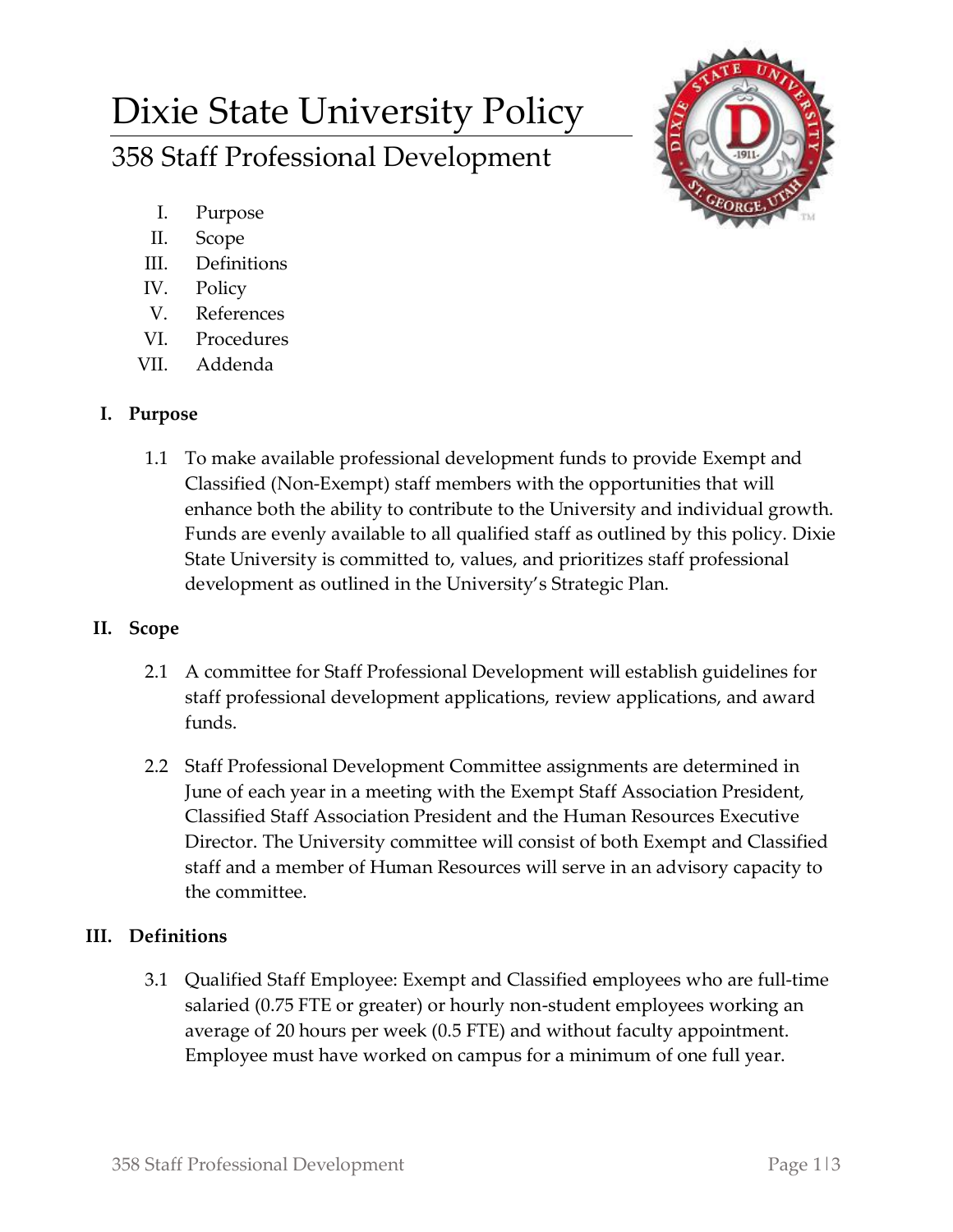# Dixie State University Policy 358 Staff Professional Development



- I. Purpose
- II. Scope
- III. Definitions
- IV. Policy
- V. References
- VI. Procedures
- VII. Addenda

## **I. Purpose**

1.1 To make available professional development funds to provide Exempt and Classified (Non-Exempt) staff members with the opportunities that will enhance both the ability to contribute to the University and individual growth. Funds are evenly available to all qualified staff as outlined by this policy. Dixie State University is committed to, values, and prioritizes staff professional development as outlined in the University's Strategic Plan.

## **II. Scope**

- 2.1 A committee for Staff Professional Development will establish guidelines for staff professional development applications, review applications, and award funds.
- 2.2 Staff Professional Development Committee assignments are determined in June of each year in a meeting with the Exempt Staff Association President, Classified Staff Association President and the Human Resources Executive Director. The University committee will consist of both Exempt and Classified staff and a member of Human Resources will serve in an advisory capacity to the committee.

## **III. Definitions**

3.1 Qualified Staff Employee: Exempt and Classified employees who are full-time salaried (0.75 FTE or greater) or hourly non-student employees working an average of 20 hours per week (0.5 FTE) and without faculty appointment. Employee must have worked on campus for a minimum of one full year.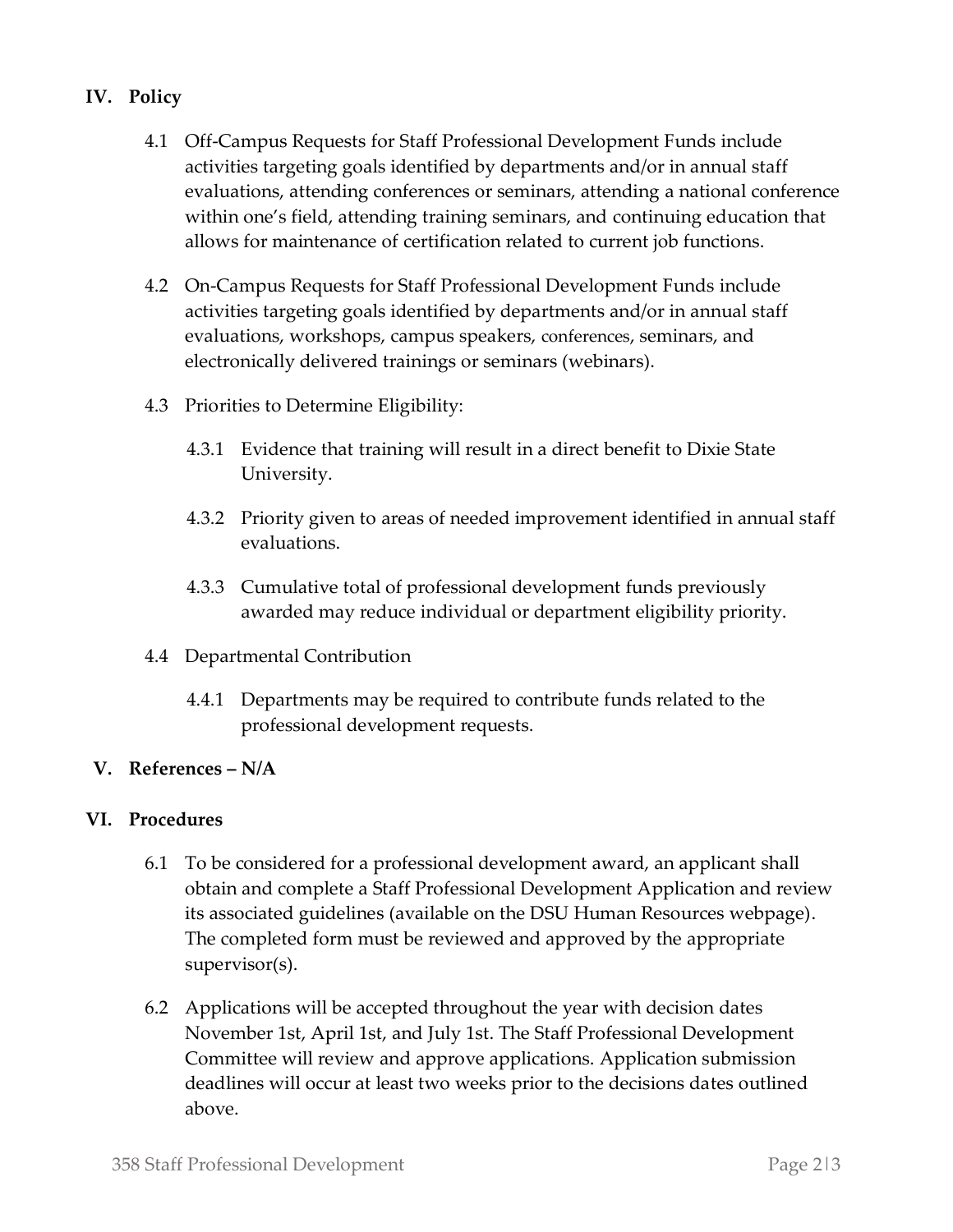### **IV. Policy**

- 4.1 Off-Campus Requests for Staff Professional Development Funds include activities targeting goals identified by departments and/or in annual staff evaluations, attending conferences or seminars, attending a national conference within one's field, attending training seminars, and continuing education that allows for maintenance of certification related to current job functions.
- 4.2 On-Campus Requests for Staff Professional Development Funds include activities targeting goals identified by departments and/or in annual staff evaluations, workshops, campus speakers, conferences, seminars, and electronically delivered trainings or seminars (webinars).
- 4.3 Priorities to Determine Eligibility:
	- 4.3.1 Evidence that training will result in a direct benefit to Dixie State University.
	- 4.3.2 Priority given to areas of needed improvement identified in annual staff evaluations.
	- 4.3.3 Cumulative total of professional development funds previously awarded may reduce individual or department eligibility priority.
- 4.4 Departmental Contribution
	- 4.4.1 Departments may be required to contribute funds related to the professional development requests.

#### **V. References – N/A**

#### **VI. Procedures**

- 6.1 To be considered for a professional development award, an applicant shall obtain and complete a Staff Professional Development Application and review its associated guidelines (available on the DSU Human Resources webpage). The completed form must be reviewed and approved by the appropriate supervisor(s).
- 6.2 Applications will be accepted throughout the year with decision dates November 1st, April 1st, and July 1st. The Staff Professional Development Committee will review and approve applications. Application submission deadlines will occur at least two weeks prior to the decisions dates outlined above.